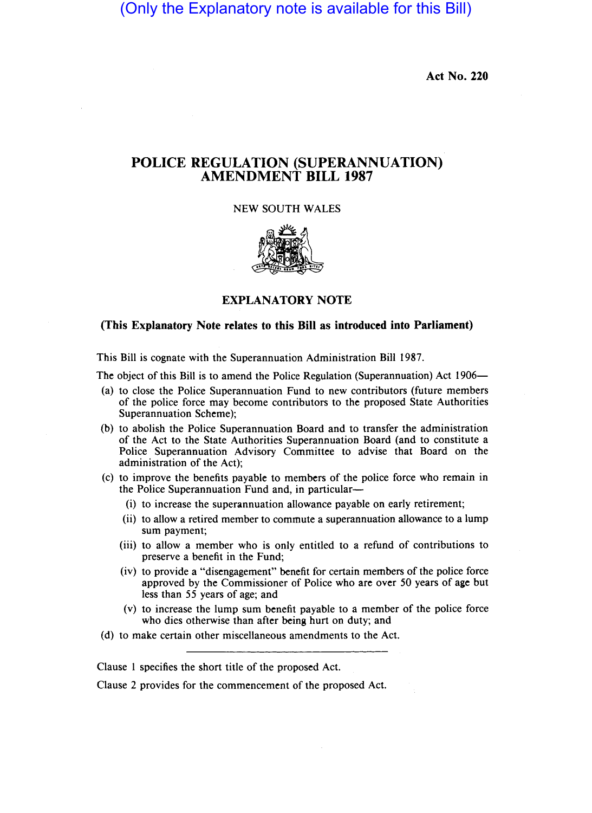(Only the Explanatory note is available for this Bill)

Act No. 220

## POLICE REGULATION (SUPERANNUATION) AMENDMENT BILL 1987

NEW SOUTH WALES



## EXPLANATORY NOTE

## (This Explanatory Note relates to this Bill as introduced into Parliament)

This Bill is cognate with the Superannuation Administration Bill 1987.

The object of this Bill is to amend the Police Regulation (Superannuation) Act 1906—

- (a) to close the Police Superannuation Fund to new contributors (future members of the police force may become contributors to the proposed State Authorities Superannuation Scheme);
- (b) to abolish the Police Superannuation Board and to transfer the administration of the Act to the State Authorities Superannuation Board (and to constitute a Police Superannuation Advisory Committee to advise that Board on the administration of the Act);
- (c) to improve the benefits payable to members of the police force who remain in the Police Superannuation Fund and, in particular-
	- (i) to increase the superannuation allowance payable on early retirement;
	- (ii) to allow a retired member to commute a superannuation allowance to a lump sum payment;
	- (iii) to allow a member who is only entitled to a refund of contributions to preserve a benefit in the Fund;
	- (iv) to provide a "disengagement" benefit for certain members of the police force approved by the Commissioner of Police who are over 50 years of age but less than 55 years of age; and
	- (v) to increase the lump sum benefit payable to a member of the police force who dies otherwise than after being hurt on duty; and
- (d) to make certain other miscellaneous amendments to the Act.

Clause I specifies the short title of the proposed Act.

Clause 2 provides for the commencement of the proposed Act.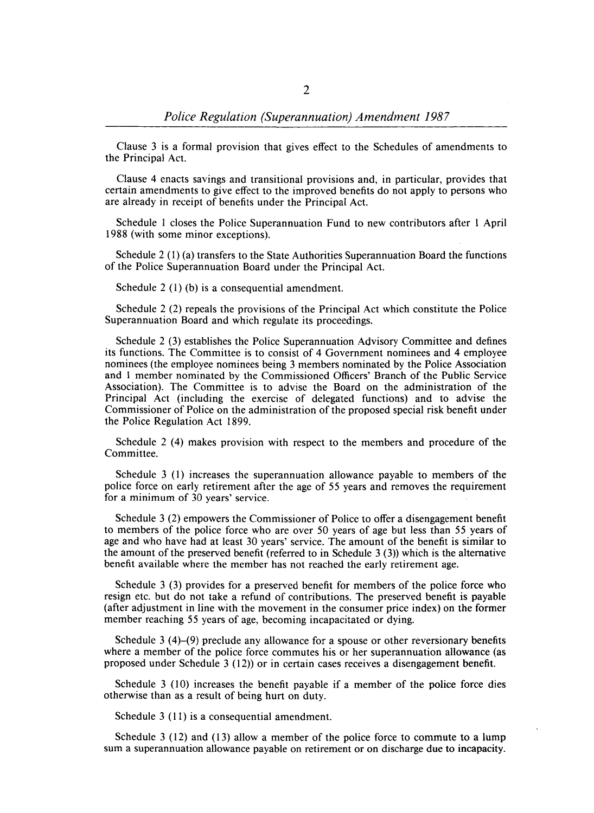Clause 3 is a formal provision that gives effect to the Schedules of amendments to the Principal Act.

Clause 4 enacts savings and transitional provisions and, in particular, provides that certain amendments to give effect to the improved benefits do not apply to persons who are already in receipt of benefits under the Principal Act.

Schedule I closes the Police Superannuation Fund to new contributors after 1 April 1988 (with some minor exceptions).

Schedule 2 (1) (a) transfers to the State Authorities Superannuation Board the functions of the Police Superannuation Board under the Principal Act.

Schedule 2 (1) (b) is a consequential amendment.

Schedule 2 (2) repeals the provisions of the Principal Act which constitute the Police Superannuation Board and which regulate its proceedings.

Schedule 2 (3) establishes the Police Superannuation Advisory Committee and defines its functions. The Committee is to consist of 4 Government nominees and 4 employee nominees (the employee nominees being 3 members nominated by the Police Association and 1 member nominated by the Commissioned Officers' Branch of the Public Service Association). The Committee is to advise the Board on the administration of the Principal Act (including the exercise of delegated functions) and to advise the Commissioner of Police on the administration of the proposed special risk benefit under the Police Regulation Act 1899.

Schedule 2 (4) makes provision with respect to the members and procedure of the Committee.

Schedule 3 (I) increases the superannuation allowance payable to members of the police force on early retirement after the age of 55 years and removes the requirement for a minimum of 30 years' service.

Schedule 3 (2) empowers the Commissioner of Police to offer a disengagement benefit to members of the police force who are over 50 years of age but less than 55 years of age and who have had at least 30 years' service. The amount of the benefit is similar to the amount of the preserved benefit (referred to in Schedule  $3$  (3)) which is the alternative benefit available where the member has not reached the early retirement age.

Schedule 3 (3) provides for a preserved benefit for members of the police force who resign etc. but do not take a refund of contributions. The preserved benefit is payable (after adjustment in line with the movement in the consumer price index) on the former member reaching 55 years of age, becoming incapacitated or dying.

Schedule 3 (4)-(9) preclude any allowance for a spouse or other reversionary benefits where a member of the police force commutes his or her superannuation allowance (as proposed under Schedule 3 (12» or in certain cases receives a disengagement benefit.

Schedule 3 (10) increases the benefit payable if a member of the police force dies otherwise than as a result of being hurt on duty.

Schedule 3 (11) is a consequential amendment.

Schedule 3 (12) and (13) allow a member of the police force to commute to a lump sum a superannuation allowance payable on retirement or on discharge due to incapacity.